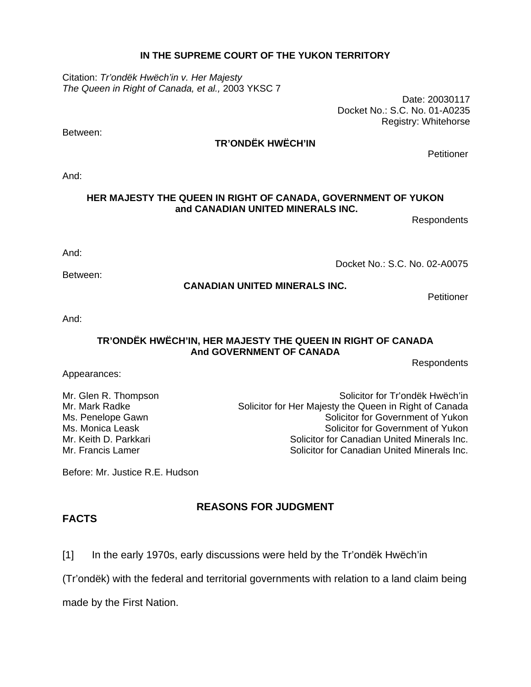#### **IN THE SUPREME COURT OF THE YUKON TERRITORY**

Citation: *Tr'ondëk Hwëch'in v. Her Majesty The Queen in Right of Canada, et al.,* 2003 YKSC 7

Date: 20030117 Docket No.: S.C. No. 01-A0235 Registry: Whitehorse

### **TR'ONDËK HWËCH'IN**

Petitioner

And:

#### **HER MAJESTY THE QUEEN IN RIGHT OF CANADA, GOVERNMENT OF YUKON and CANADIAN UNITED MINERALS INC.**

**Respondents** 

And:

Between:

Docket No.: S.C. No. 02-A0075

#### **CANADIAN UNITED MINERALS INC.**

**Petitioner** 

And:

#### **TR'ONDËK HWËCH'IN, HER MAJESTY THE QUEEN IN RIGHT OF CANADA And GOVERNMENT OF CANADA**

**Respondents** 

Appearances:

Mr. Glen R. Thompson Solicitor for Tr'ondëk Hwëch'in Mr. Mark Radke Solicitor for Her Majesty the Queen in Right of Canada Ms. Penelope Gawn Solicitor for Government of Yukon Ms. Monica Leask **Number 1, 2008** Solicitor for Government of Yukon Mr. Keith D. Parkkari Solicitor for Canadian United Minerals Inc. Mr. Francis Lamer **Solicitor Francis Lamerals Inc.** Solicitor for Canadian United Minerals Inc.

Before: Mr. Justice R.E. Hudson

## **REASONS FOR JUDGMENT**

**FACTS** 

[1] In the early 1970s, early discussions were held by the Tr'ondëk Hwëch'in

(Tr'ondëk) with the federal and territorial governments with relation to a land claim being

made by the First Nation.

Between: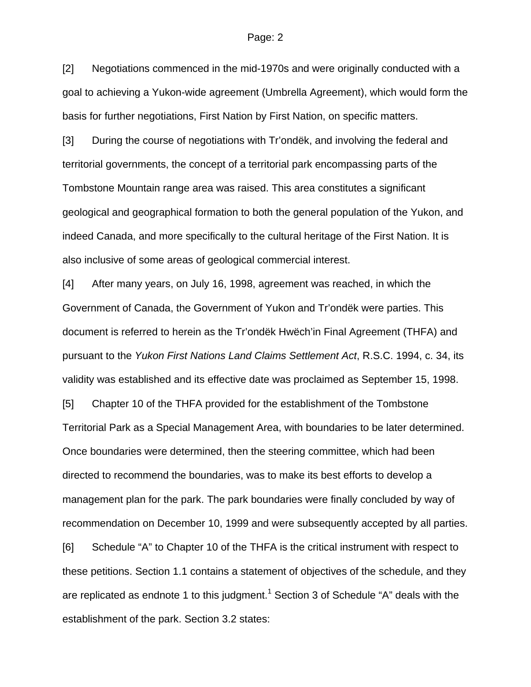[2] Negotiations commenced in the mid-1970s and were originally conducted with a goal to achieving a Yukon-wide agreement (Umbrella Agreement), which would form the basis for further negotiations, First Nation by First Nation, on specific matters.

[3] During the course of negotiations with Tr'ondëk, and involving the federal and territorial governments, the concept of a territorial park encompassing parts of the Tombstone Mountain range area was raised. This area constitutes a significant geological and geographical formation to both the general population of the Yukon, and indeed Canada, and more specifically to the cultural heritage of the First Nation. It is also inclusive of some areas of geological commercial interest.

[4] After many years, on July 16, 1998, agreement was reached, in which the Government of Canada, the Government of Yukon and Tr'ondëk were parties. This document is referred to herein as the Tr'ondëk Hwëch'in Final Agreement (THFA) and pursuant to the *Yukon First Nations Land Claims Settlement Act*, R.S.C. 1994, c. 34, its validity was established and its effective date was proclaimed as September 15, 1998.

[5] Chapter 10 of the THFA provided for the establishment of the Tombstone Territorial Park as a Special Management Area, with boundaries to be later determined. Once boundaries were determined, then the steering committee, which had been directed to recommend the boundaries, was to make its best efforts to develop a management plan for the park. The park boundaries were finally concluded by way of recommendation on December 10, 1999 and were subsequently accepted by all parties.

[6] Schedule "A" to Chapter 10 of the THFA is the critical instrument with respect to these petitions. Section 1.1 contains a statement of objectives of the schedule, and they are replicated as endnote 1 to this judgment.<sup>1</sup> Section 3 of Schedule "A" deals with the establishment of the park. Section 3.2 states: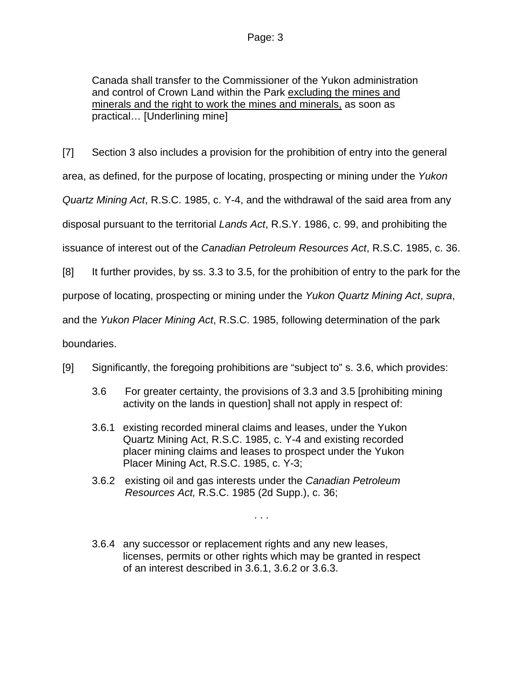Canada shall transfer to the Commissioner of the Yukon administration and control of Crown Land within the Park excluding the mines and minerals and the right to work the mines and minerals, as soon as practical… [Underlining mine]

[7] Section 3 also includes a provision for the prohibition of entry into the general area, as defined, for the purpose of locating, prospecting or mining under the *Yukon Quartz Mining Act*, R.S.C. 1985, c. Y-4, and the withdrawal of the said area from any disposal pursuant to the territorial *Lands Act*, R.S.Y. 1986, c. 99, and prohibiting the issuance of interest out of the *Canadian Petroleum Resources Act*, R.S.C. 1985, c. 36.

[8] It further provides, by ss. 3.3 to 3.5, for the prohibition of entry to the park for the

purpose of locating, prospecting or mining under the *Yukon Quartz Mining Act*, *supra*,

and the *Yukon Placer Mining Act*, R.S.C. 1985, following determination of the park

boundaries.

- [9] Significantly, the foregoing prohibitions are "subject to" s. 3.6, which provides:
	- 3.6 For greater certainty, the provisions of 3.3 and 3.5 [prohibiting mining activity on the lands in question] shall not apply in respect of:
	- 3.6.1 existing recorded mineral claims and leases, under the Yukon Quartz Mining Act, R.S.C. 1985, c. Y-4 and existing recorded placer mining claims and leases to prospect under the Yukon Placer Mining Act, R.S.C. 1985, c. Y-3;
	- 3.6.2 existing oil and gas interests under the *Canadian Petroleum Resources Act,* R.S.C. 1985 (2d Supp.), c. 36;
	- 3.6.4 any successor or replacement rights and any new leases, licenses, permits or other rights which may be granted in respect of an interest described in 3.6.1, 3.6.2 or 3.6.3.

. . .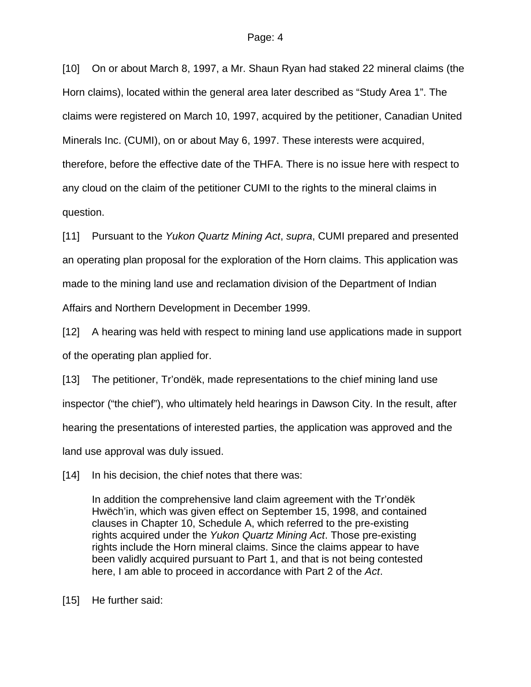[10] On or about March 8, 1997, a Mr. Shaun Ryan had staked 22 mineral claims (the Horn claims), located within the general area later described as "Study Area 1". The claims were registered on March 10, 1997, acquired by the petitioner, Canadian United Minerals Inc. (CUMI), on or about May 6, 1997. These interests were acquired, therefore, before the effective date of the THFA. There is no issue here with respect to any cloud on the claim of the petitioner CUMI to the rights to the mineral claims in question.

[11] Pursuant to the *Yukon Quartz Mining Act*, *supra*, CUMI prepared and presented an operating plan proposal for the exploration of the Horn claims. This application was made to the mining land use and reclamation division of the Department of Indian Affairs and Northern Development in December 1999.

[12] A hearing was held with respect to mining land use applications made in support of the operating plan applied for.

[13] The petitioner, Tr'ondëk, made representations to the chief mining land use inspector ("the chief"), who ultimately held hearings in Dawson City. In the result, after hearing the presentations of interested parties, the application was approved and the land use approval was duly issued.

[14] In his decision, the chief notes that there was:

In addition the comprehensive land claim agreement with the Tr'ondëk Hwëch'in, which was given effect on September 15, 1998, and contained clauses in Chapter 10, Schedule A, which referred to the pre-existing rights acquired under the *Yukon Quartz Mining Act*. Those pre-existing rights include the Horn mineral claims. Since the claims appear to have been validly acquired pursuant to Part 1, and that is not being contested here, I am able to proceed in accordance with Part 2 of the *Act*.

[15] He further said: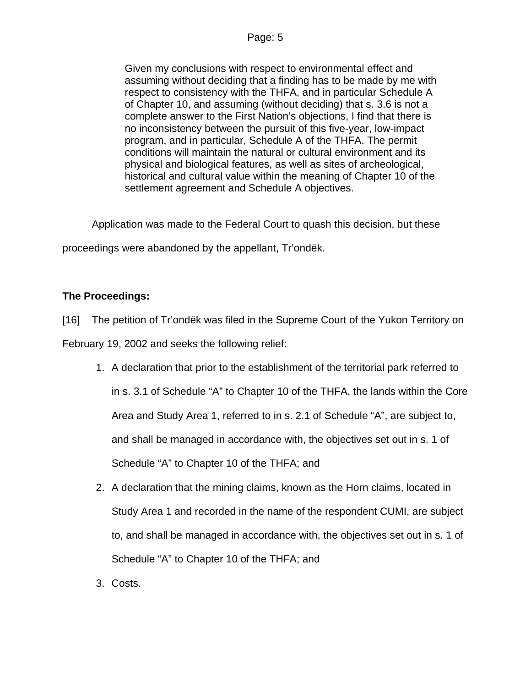Given my conclusions with respect to environmental effect and assuming without deciding that a finding has to be made by me with respect to consistency with the THFA, and in particular Schedule A of Chapter 10, and assuming (without deciding) that s. 3.6 is not a complete answer to the First Nation's objections, I find that there is no inconsistency between the pursuit of this five-year, low-impact program, and in particular, Schedule A of the THFA. The permit conditions will maintain the natural or cultural environment and its physical and biological features, as well as sites of archeological, historical and cultural value within the meaning of Chapter 10 of the settlement agreement and Schedule A objectives.

Application was made to the Federal Court to quash this decision, but these

proceedings were abandoned by the appellant, Tr'ondëk.

## **The Proceedings:**

[16] The petition of Tr'ondëk was filed in the Supreme Court of the Yukon Territory on

February 19, 2002 and seeks the following relief:

- 1. A declaration that prior to the establishment of the territorial park referred to in s. 3.1 of Schedule "A" to Chapter 10 of the THFA, the lands within the Core Area and Study Area 1, referred to in s. 2.1 of Schedule "A", are subject to, and shall be managed in accordance with, the objectives set out in s. 1 of Schedule "A" to Chapter 10 of the THFA; and
- 2. A declaration that the mining claims, known as the Horn claims, located in Study Area 1 and recorded in the name of the respondent CUMI, are subject to, and shall be managed in accordance with, the objectives set out in s. 1 of Schedule "A" to Chapter 10 of the THFA; and
- 3. Costs.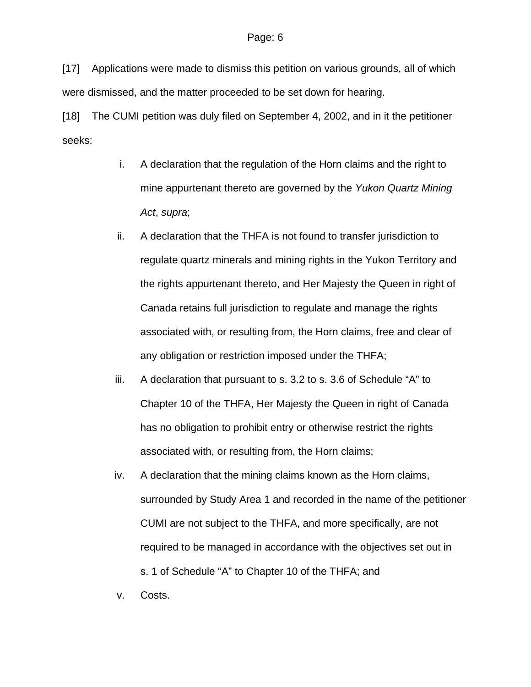[17] Applications were made to dismiss this petition on various grounds, all of which were dismissed, and the matter proceeded to be set down for hearing.

[18] The CUMI petition was duly filed on September 4, 2002, and in it the petitioner seeks:

- i. A declaration that the regulation of the Horn claims and the right to mine appurtenant thereto are governed by the *Yukon Quartz Mining Act*, *supra*;
- ii. A declaration that the THFA is not found to transfer jurisdiction to regulate quartz minerals and mining rights in the Yukon Territory and the rights appurtenant thereto, and Her Majesty the Queen in right of Canada retains full jurisdiction to regulate and manage the rights associated with, or resulting from, the Horn claims, free and clear of any obligation or restriction imposed under the THFA;
- iii. A declaration that pursuant to s. 3.2 to s. 3.6 of Schedule "A" to Chapter 10 of the THFA, Her Majesty the Queen in right of Canada has no obligation to prohibit entry or otherwise restrict the rights associated with, or resulting from, the Horn claims;
- iv. A declaration that the mining claims known as the Horn claims, surrounded by Study Area 1 and recorded in the name of the petitioner CUMI are not subject to the THFA, and more specifically, are not required to be managed in accordance with the objectives set out in s. 1 of Schedule "A" to Chapter 10 of the THFA; and

v. Costs.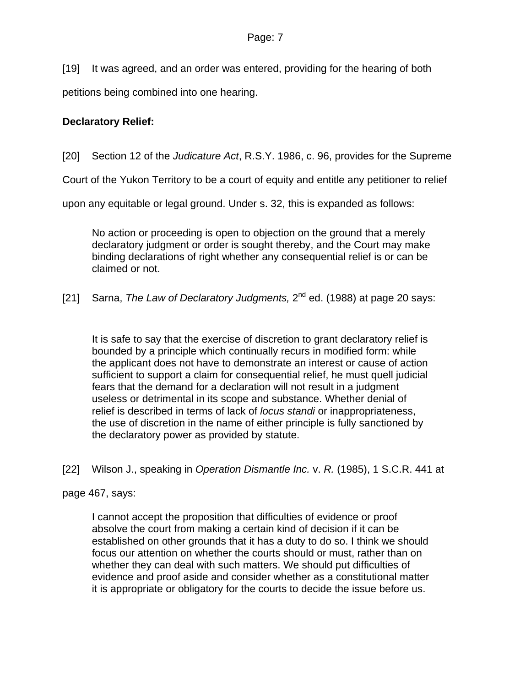[19] It was agreed, and an order was entered, providing for the hearing of both

petitions being combined into one hearing.

## **Declaratory Relief:**

[20] Section 12 of the *Judicature Act*, R.S.Y. 1986, c. 96, provides for the Supreme

Court of the Yukon Territory to be a court of equity and entitle any petitioner to relief

upon any equitable or legal ground. Under s. 32, this is expanded as follows:

No action or proceeding is open to objection on the ground that a merely declaratory judgment or order is sought thereby, and the Court may make binding declarations of right whether any consequential relief is or can be claimed or not.

[21] Sarna, *The Law of Declaratory Judgments,* 2<sup>nd</sup> ed. (1988) at page 20 says:

It is safe to say that the exercise of discretion to grant declaratory relief is bounded by a principle which continually recurs in modified form: while the applicant does not have to demonstrate an interest or cause of action sufficient to support a claim for consequential relief, he must quell judicial fears that the demand for a declaration will not result in a judgment useless or detrimental in its scope and substance. Whether denial of relief is described in terms of lack of *locus standi* or inappropriateness, the use of discretion in the name of either principle is fully sanctioned by the declaratory power as provided by statute.

[22] Wilson J., speaking in *Operation Dismantle Inc.* v. *R.* (1985), 1 S.C.R. 441 at

page 467, says:

I cannot accept the proposition that difficulties of evidence or proof absolve the court from making a certain kind of decision if it can be established on other grounds that it has a duty to do so. I think we should focus our attention on whether the courts should or must, rather than on whether they can deal with such matters. We should put difficulties of evidence and proof aside and consider whether as a constitutional matter it is appropriate or obligatory for the courts to decide the issue before us.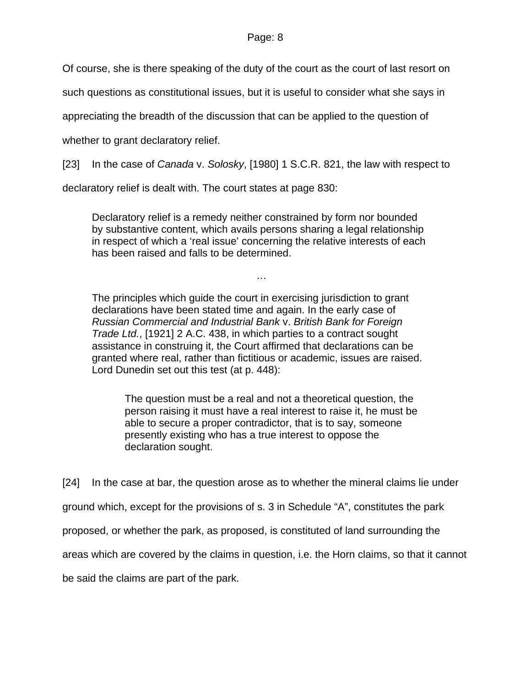Of course, she is there speaking of the duty of the court as the court of last resort on

such questions as constitutional issues, but it is useful to consider what she says in

appreciating the breadth of the discussion that can be applied to the question of

whether to grant declaratory relief.

[23] In the case of *Canada* v. *Solosky*, [1980] 1 S.C.R. 821, the law with respect to

declaratory relief is dealt with. The court states at page 830:

Declaratory relief is a remedy neither constrained by form nor bounded by substantive content, which avails persons sharing a legal relationship in respect of which a 'real issue' concerning the relative interests of each has been raised and falls to be determined.

…

The principles which guide the court in exercising jurisdiction to grant declarations have been stated time and again. In the early case of *Russian Commercial and Industrial Bank* v. *British Bank for Foreign Trade Ltd.*, [1921] 2 A.C. 438, in which parties to a contract sought assistance in construing it, the Court affirmed that declarations can be granted where real, rather than fictitious or academic, issues are raised. Lord Dunedin set out this test (at p. 448):

The question must be a real and not a theoretical question, the person raising it must have a real interest to raise it, he must be able to secure a proper contradictor, that is to say, someone presently existing who has a true interest to oppose the declaration sought.

[24] In the case at bar, the question arose as to whether the mineral claims lie under ground which, except for the provisions of s. 3 in Schedule "A", constitutes the park proposed, or whether the park, as proposed, is constituted of land surrounding the areas which are covered by the claims in question, i.e. the Horn claims, so that it cannot

be said the claims are part of the park.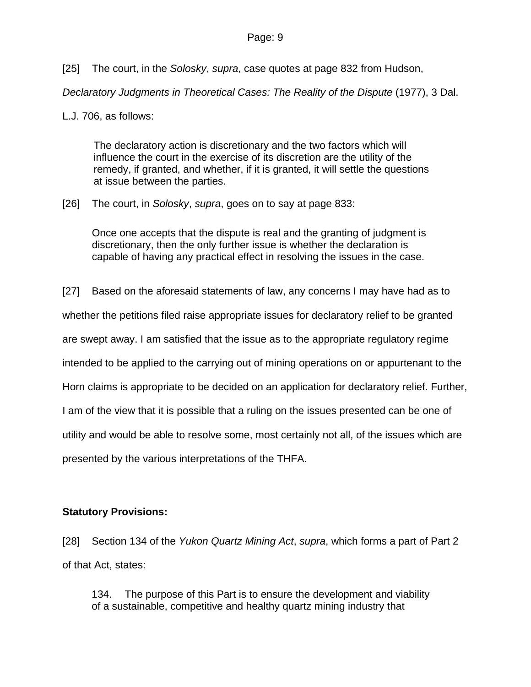[25] The court, in the *Solosky*, *supra*, case quotes at page 832 from Hudson,

*Declaratory Judgments in Theoretical Cases: The Reality of the Dispute* (1977), 3 Dal.

L.J. 706, as follows:

The declaratory action is discretionary and the two factors which will influence the court in the exercise of its discretion are the utility of the remedy, if granted, and whether, if it is granted, it will settle the questions at issue between the parties.

[26] The court, in *Solosky*, *supra*, goes on to say at page 833:

Once one accepts that the dispute is real and the granting of judgment is discretionary, then the only further issue is whether the declaration is capable of having any practical effect in resolving the issues in the case.

[27] Based on the aforesaid statements of law, any concerns I may have had as to whether the petitions filed raise appropriate issues for declaratory relief to be granted are swept away. I am satisfied that the issue as to the appropriate regulatory regime intended to be applied to the carrying out of mining operations on or appurtenant to the Horn claims is appropriate to be decided on an application for declaratory relief. Further, I am of the view that it is possible that a ruling on the issues presented can be one of utility and would be able to resolve some, most certainly not all, of the issues which are presented by the various interpretations of the THFA.

## **Statutory Provisions:**

[28] Section 134 of the *Yukon Quartz Mining Act*, *supra*, which forms a part of Part 2 of that Act, states:

134. The purpose of this Part is to ensure the development and viability of a sustainable, competitive and healthy quartz mining industry that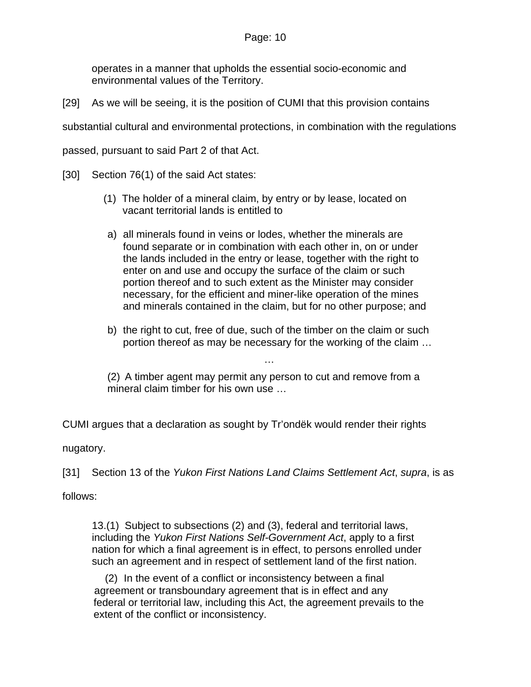operates in a manner that upholds the essential socio-economic and environmental values of the Territory.

[29] As we will be seeing, it is the position of CUMI that this provision contains

substantial cultural and environmental protections, in combination with the regulations

passed, pursuant to said Part 2 of that Act.

[30] Section 76(1) of the said Act states:

- (1) The holder of a mineral claim, by entry or by lease, located on vacant territorial lands is entitled to
- a) all minerals found in veins or lodes, whether the minerals are found separate or in combination with each other in, on or under the lands included in the entry or lease, together with the right to enter on and use and occupy the surface of the claim or such portion thereof and to such extent as the Minister may consider necessary, for the efficient and miner-like operation of the mines and minerals contained in the claim, but for no other purpose; and
- b) the right to cut, free of due, such of the timber on the claim or such portion thereof as may be necessary for the working of the claim …

…

(2) A timber agent may permit any person to cut and remove from a mineral claim timber for his own use …

CUMI argues that a declaration as sought by Tr'ondëk would render their rights

nugatory.

[31] Section 13 of the *Yukon First Nations Land Claims Settlement Act*, *supra*, is as

follows:

13.(1) Subject to subsections (2) and (3), federal and territorial laws, including the *Yukon First Nations Self-Government Act*, apply to a first nation for which a final agreement is in effect, to persons enrolled under such an agreement and in respect of settlement land of the first nation.

(2) In the event of a conflict or inconsistency between a final agreement or transboundary agreement that is in effect and any federal or territorial law, including this Act, the agreement prevails to the extent of the conflict or inconsistency.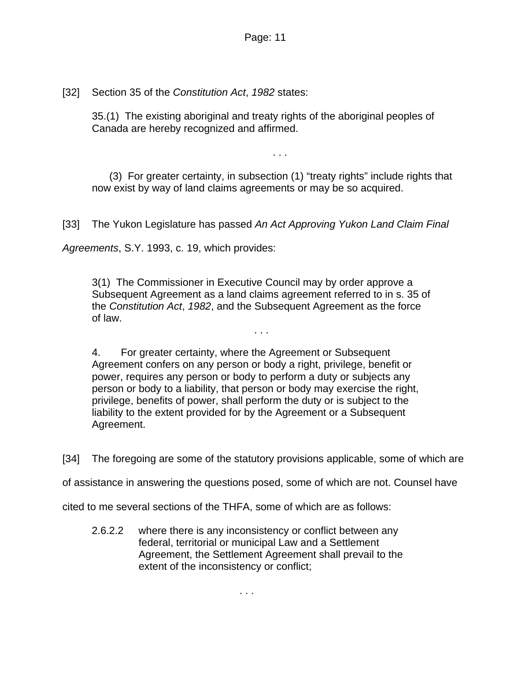[32] Section 35 of the *Constitution Act*, *1982* states:

35.(1) The existing aboriginal and treaty rights of the aboriginal peoples of Canada are hereby recognized and affirmed.

. . .

 (3) For greater certainty, in subsection (1) "treaty rights" include rights that now exist by way of land claims agreements or may be so acquired.

[33] The Yukon Legislature has passed *An Act Approving Yukon Land Claim Final* 

*Agreements*, S.Y. 1993, c. 19, which provides:

3(1) The Commissioner in Executive Council may by order approve a Subsequent Agreement as a land claims agreement referred to in s. 35 of the *Constitution Act*, *1982*, and the Subsequent Agreement as the force of law.

. . .

4. For greater certainty, where the Agreement or Subsequent Agreement confers on any person or body a right, privilege, benefit or power, requires any person or body to perform a duty or subjects any person or body to a liability, that person or body may exercise the right, privilege, benefits of power, shall perform the duty or is subject to the liability to the extent provided for by the Agreement or a Subsequent Agreement.

[34] The foregoing are some of the statutory provisions applicable, some of which are

of assistance in answering the questions posed, some of which are not. Counsel have

cited to me several sections of the THFA, some of which are as follows:

2.6.2.2 where there is any inconsistency or conflict between any federal, territorial or municipal Law and a Settlement Agreement, the Settlement Agreement shall prevail to the extent of the inconsistency or conflict;

. . .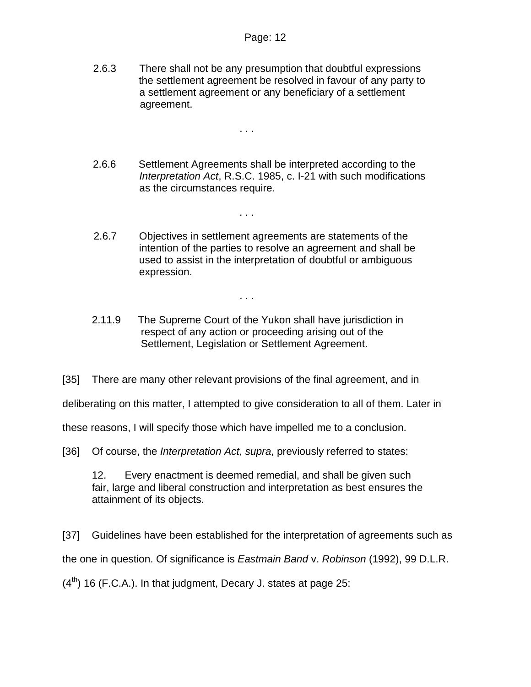2.6.3 There shall not be any presumption that doubtful expressions the settlement agreement be resolved in favour of any party to a settlement agreement or any beneficiary of a settlement agreement.

. . .

- 2.6.6 Settlement Agreements shall be interpreted according to the *Interpretation Act*, R.S.C. 1985, c. I-21 with such modifications as the circumstances require.
- 2.6.7 Objectives in settlement agreements are statements of the intention of the parties to resolve an agreement and shall be used to assist in the interpretation of doubtful or ambiguous expression.

. . .

. . .

2.11.9 The Supreme Court of the Yukon shall have jurisdiction in respect of any action or proceeding arising out of the Settlement, Legislation or Settlement Agreement.

[35] There are many other relevant provisions of the final agreement, and in

deliberating on this matter, I attempted to give consideration to all of them. Later in

these reasons, I will specify those which have impelled me to a conclusion.

[36] Of course, the *Interpretation Act*, *supra*, previously referred to states:

12. Every enactment is deemed remedial, and shall be given such fair, large and liberal construction and interpretation as best ensures the attainment of its objects.

[37] Guidelines have been established for the interpretation of agreements such as the one in question. Of significance is *Eastmain Band* v. *Robinson* (1992), 99 D.L.R.  $(4<sup>th</sup>)$  16 (F.C.A.). In that judgment, Decary J. states at page 25: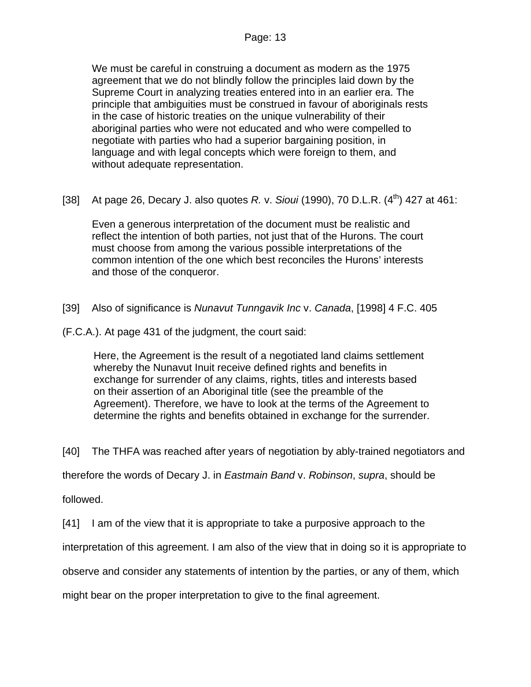We must be careful in construing a document as modern as the 1975 agreement that we do not blindly follow the principles laid down by the Supreme Court in analyzing treaties entered into in an earlier era. The principle that ambiguities must be construed in favour of aboriginals rests in the case of historic treaties on the unique vulnerability of their aboriginal parties who were not educated and who were compelled to negotiate with parties who had a superior bargaining position, in language and with legal concepts which were foreign to them, and without adequate representation.

[38] At page 26, Decary J. also quotes *R. v. Sioui* (1990), 70 D.L.R. (4<sup>th</sup>) 427 at 461:

Even a generous interpretation of the document must be realistic and reflect the intention of both parties, not just that of the Hurons. The court must choose from among the various possible interpretations of the common intention of the one which best reconciles the Hurons' interests and those of the conqueror.

- [39] Also of significance is *Nunavut Tunngavik Inc* v. *Canada*, [1998] 4 F.C. 405
- (F.C.A.). At page 431 of the judgment, the court said:

Here, the Agreement is the result of a negotiated land claims settlement whereby the Nunavut Inuit receive defined rights and benefits in exchange for surrender of any claims, rights, titles and interests based on their assertion of an Aboriginal title (see the preamble of the Agreement). Therefore, we have to look at the terms of the Agreement to determine the rights and benefits obtained in exchange for the surrender.

[40] The THFA was reached after years of negotiation by ably-trained negotiators and

therefore the words of Decary J. in *Eastmain Band* v. *Robinson*, *supra*, should be

followed.

[41] I am of the view that it is appropriate to take a purposive approach to the

interpretation of this agreement. I am also of the view that in doing so it is appropriate to

observe and consider any statements of intention by the parties, or any of them, which

might bear on the proper interpretation to give to the final agreement.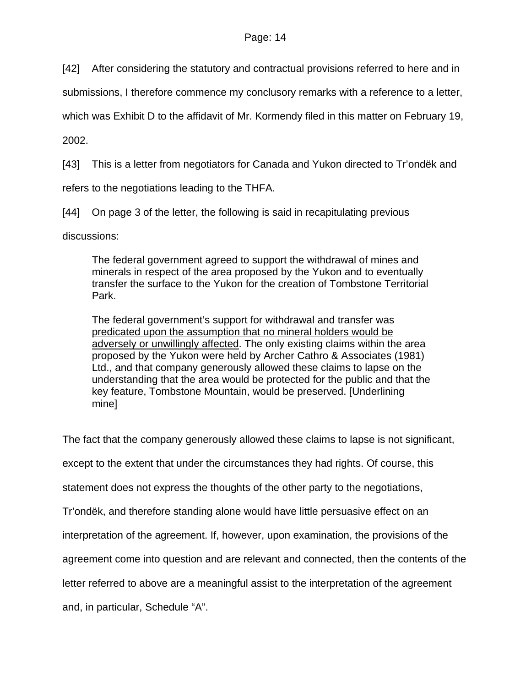[42] After considering the statutory and contractual provisions referred to here and in

submissions, I therefore commence my conclusory remarks with a reference to a letter,

which was Exhibit D to the affidavit of Mr. Kormendy filed in this matter on February 19,

2002.

[43] This is a letter from negotiators for Canada and Yukon directed to Tr'ondëk and

refers to the negotiations leading to the THFA.

[44] On page 3 of the letter, the following is said in recapitulating previous

discussions:

The federal government agreed to support the withdrawal of mines and minerals in respect of the area proposed by the Yukon and to eventually transfer the surface to the Yukon for the creation of Tombstone Territorial Park.

The federal government's support for withdrawal and transfer was predicated upon the assumption that no mineral holders would be adversely or unwillingly affected. The only existing claims within the area proposed by the Yukon were held by Archer Cathro & Associates (1981) Ltd., and that company generously allowed these claims to lapse on the understanding that the area would be protected for the public and that the key feature, Tombstone Mountain, would be preserved. [Underlining mine]

The fact that the company generously allowed these claims to lapse is not significant,

except to the extent that under the circumstances they had rights. Of course, this

statement does not express the thoughts of the other party to the negotiations,

Tr'ondëk, and therefore standing alone would have little persuasive effect on an

interpretation of the agreement. If, however, upon examination, the provisions of the

agreement come into question and are relevant and connected, then the contents of the

letter referred to above are a meaningful assist to the interpretation of the agreement

and, in particular, Schedule "A".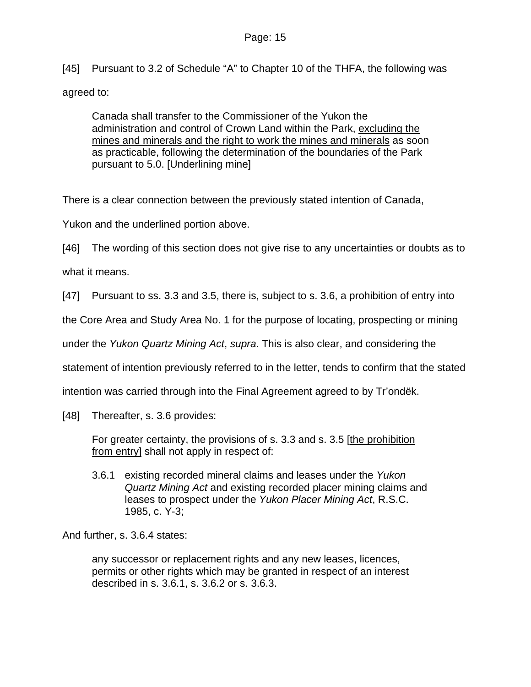[45] Pursuant to 3.2 of Schedule "A" to Chapter 10 of the THFA, the following was agreed to:

Canada shall transfer to the Commissioner of the Yukon the administration and control of Crown Land within the Park, excluding the mines and minerals and the right to work the mines and minerals as soon as practicable, following the determination of the boundaries of the Park pursuant to 5.0. [Underlining mine]

There is a clear connection between the previously stated intention of Canada,

Yukon and the underlined portion above.

[46] The wording of this section does not give rise to any uncertainties or doubts as to

what it means.

[47] Pursuant to ss. 3.3 and 3.5, there is, subject to s. 3.6, a prohibition of entry into

the Core Area and Study Area No. 1 for the purpose of locating, prospecting or mining

under the *Yukon Quartz Mining Act*, *supra*. This is also clear, and considering the

statement of intention previously referred to in the letter, tends to confirm that the stated

intention was carried through into the Final Agreement agreed to by Tr'ondëk.

[48] Thereafter, s. 3.6 provides:

For greater certainty, the provisions of s. 3.3 and s. 3.5 [the prohibition from entry] shall not apply in respect of:

3.6.1 existing recorded mineral claims and leases under the *Yukon Quartz Mining Act* and existing recorded placer mining claims and leases to prospect under the *Yukon Placer Mining Act*, R.S.C. 1985, c. Y-3;

And further, s. 3.6.4 states:

any successor or replacement rights and any new leases, licences, permits or other rights which may be granted in respect of an interest described in s. 3.6.1, s. 3.6.2 or s. 3.6.3.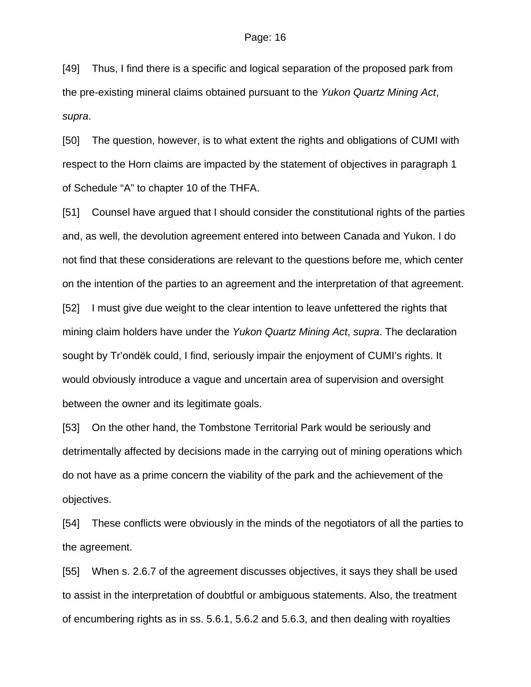[49] Thus, I find there is a specific and logical separation of the proposed park from the pre-existing mineral claims obtained pursuant to the *Yukon Quartz Mining Act*, *supra*.

[50] The question, however, is to what extent the rights and obligations of CUMI with respect to the Horn claims are impacted by the statement of objectives in paragraph 1 of Schedule "A" to chapter 10 of the THFA.

[51] Counsel have argued that I should consider the constitutional rights of the parties and, as well, the devolution agreement entered into between Canada and Yukon. I do not find that these considerations are relevant to the questions before me, which center on the intention of the parties to an agreement and the interpretation of that agreement. [52] I must give due weight to the clear intention to leave unfettered the rights that mining claim holders have under the *Yukon Quartz Mining Act*, *supra*. The declaration sought by Tr'ondëk could, I find, seriously impair the enjoyment of CUMI's rights. It would obviously introduce a vague and uncertain area of supervision and oversight between the owner and its legitimate goals.

[53] On the other hand, the Tombstone Territorial Park would be seriously and detrimentally affected by decisions made in the carrying out of mining operations which do not have as a prime concern the viability of the park and the achievement of the objectives.

[54] These conflicts were obviously in the minds of the negotiators of all the parties to the agreement.

[55] When s. 2.6.7 of the agreement discusses objectives, it says they shall be used to assist in the interpretation of doubtful or ambiguous statements. Also, the treatment of encumbering rights as in ss. 5.6.1, 5.6.2 and 5.6.3, and then dealing with royalties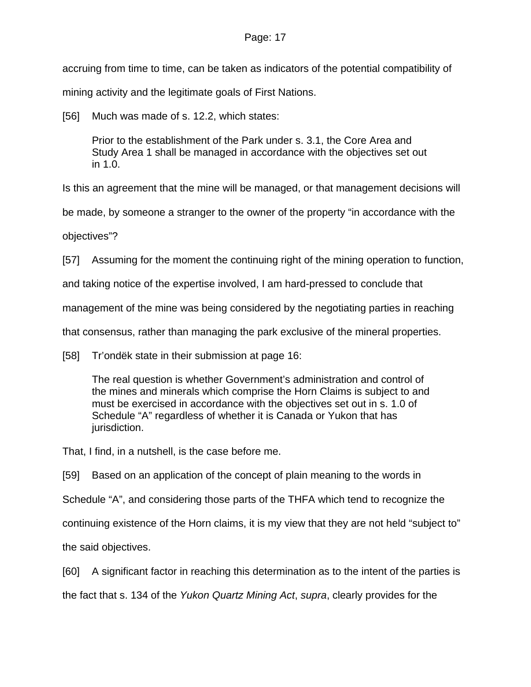accruing from time to time, can be taken as indicators of the potential compatibility of

mining activity and the legitimate goals of First Nations.

[56] Much was made of s. 12.2, which states:

Prior to the establishment of the Park under s. 3.1, the Core Area and Study Area 1 shall be managed in accordance with the objectives set out in 1.0.

Is this an agreement that the mine will be managed, or that management decisions will

be made, by someone a stranger to the owner of the property "in accordance with the

objectives"?

[57] Assuming for the moment the continuing right of the mining operation to function,

and taking notice of the expertise involved, I am hard-pressed to conclude that

management of the mine was being considered by the negotiating parties in reaching

that consensus, rather than managing the park exclusive of the mineral properties.

[58] Tr'ondëk state in their submission at page 16:

The real question is whether Government's administration and control of the mines and minerals which comprise the Horn Claims is subject to and must be exercised in accordance with the objectives set out in s. 1.0 of Schedule "A" regardless of whether it is Canada or Yukon that has jurisdiction.

That, I find, in a nutshell, is the case before me.

[59] Based on an application of the concept of plain meaning to the words in

Schedule "A", and considering those parts of the THFA which tend to recognize the

continuing existence of the Horn claims, it is my view that they are not held "subject to"

the said objectives.

[60] A significant factor in reaching this determination as to the intent of the parties is the fact that s. 134 of the *Yukon Quartz Mining Act*, *supra*, clearly provides for the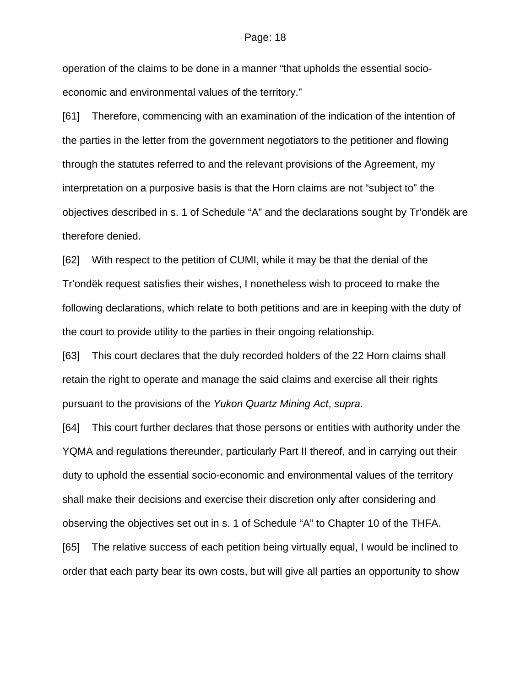operation of the claims to be done in a manner "that upholds the essential socioeconomic and environmental values of the territory."

[61] Therefore, commencing with an examination of the indication of the intention of the parties in the letter from the government negotiators to the petitioner and flowing through the statutes referred to and the relevant provisions of the Agreement, my interpretation on a purposive basis is that the Horn claims are not "subject to" the objectives described in s. 1 of Schedule "A" and the declarations sought by Tr'ondëk are therefore denied.

[62] With respect to the petition of CUMI, while it may be that the denial of the Tr'ondëk request satisfies their wishes, I nonetheless wish to proceed to make the following declarations, which relate to both petitions and are in keeping with the duty of the court to provide utility to the parties in their ongoing relationship.

[63] This court declares that the duly recorded holders of the 22 Horn claims shall retain the right to operate and manage the said claims and exercise all their rights pursuant to the provisions of the *Yukon Quartz Mining Act*, *supra*.

[64] This court further declares that those persons or entities with authority under the YQMA and regulations thereunder, particularly Part II thereof, and in carrying out their duty to uphold the essential socio-economic and environmental values of the territory shall make their decisions and exercise their discretion only after considering and observing the objectives set out in s. 1 of Schedule "A" to Chapter 10 of the THFA.

[65] The relative success of each petition being virtually equal, I would be inclined to order that each party bear its own costs, but will give all parties an opportunity to show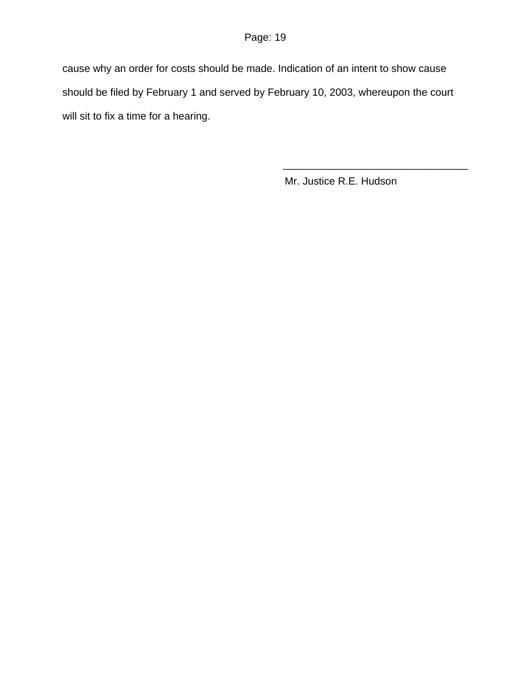cause why an order for costs should be made. Indication of an intent to show cause should be filed by February 1 and served by February 10, 2003, whereupon the court will sit to fix a time for a hearing.

 $\overline{\phantom{a}}$  , and the contract of the contract of the contract of the contract of the contract of the contract of the contract of the contract of the contract of the contract of the contract of the contract of the contrac

Mr. Justice R.E. Hudson